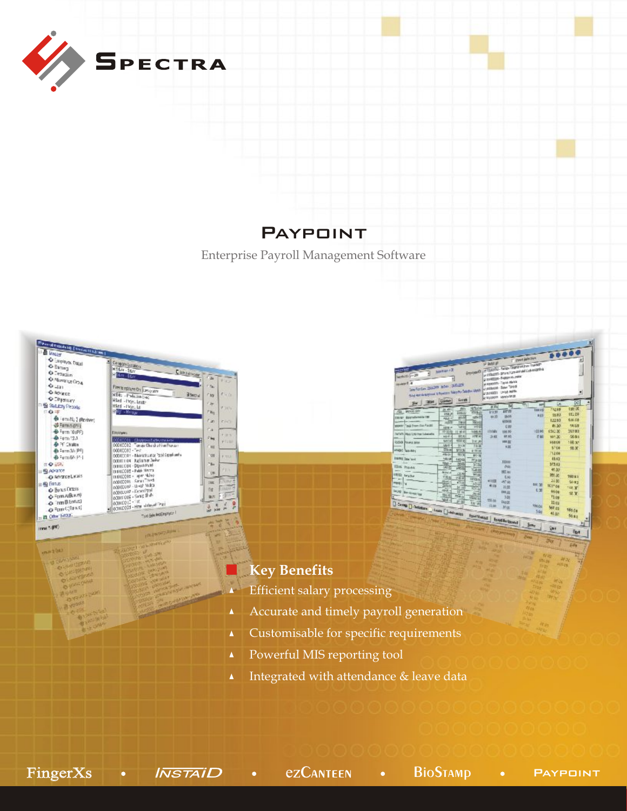

# **PAYPOINT**

Enterprise Payroll Management Software



| pinkers<br><b>MORAZY LANDS</b><br>molete d. at                                                                                      | MITERS / 2       |                                |                        |                   | <b>Electric D., 41000000 - Tanga Degrees are investible</b><br>A STREET-SPAN FUTURIES AND LUNCHERED A<br><b>CONTRACTOR</b> - PARKERS JAPAN<br>a execution - Taple Marina | <b>Part MACHA</b> |               |                |         |            |
|-------------------------------------------------------------------------------------------------------------------------------------|------------------|--------------------------------|------------------------|-------------------|--------------------------------------------------------------------------------------------------------------------------------------------------------------------------|-------------------|---------------|----------------|---------|------------|
| amfortes 3630 labe : 36.2%<br>Sing was believed in Fouriers Salayho Debiton Mark, or activened. Since "Single<br>Ter   Silbir Green |                  | <b>Seerah</b>                  |                        | RESIDENT SERVICES |                                                                                                                                                                          |                   | <b>AMP</b>    | Ù.             | DC.     |            |
|                                                                                                                                     | AC 491           | yggis                          | 1514                   | <b>H RV</b>       | м                                                                                                                                                                        |                   |               | 732.69         | 198.00  |            |
| Aug. - person call-                                                                                                                 | ina.x            | <b>ENSIN</b>                   | <b>Rosa</b>            | 513,50            | pin m                                                                                                                                                                    |                   | tares         |                | 182.00  |            |
| <b>DENKY</b> BESTWORFFIELD                                                                                                          | Abit 4           | <b>ASIAN</b>                   | <b>USLOT</b>           | 10M               | 5514                                                                                                                                                                     |                   | 8.09          | 25.81          | 1.00.00 |            |
| power ("pub from the Pauli)                                                                                                         | мm               | 780                            | <b>See</b>             |                   | 405.58                                                                                                                                                                   |                   |               | 122.80         |         |            |
|                                                                                                                                     | April 4          | <b>Matt</b>                    | MH                     |                   | <b>E BU</b>                                                                                                                                                              |                   |               | 41.30          | 58.33   |            |
| <b>Darforty (Mark 1,46) Free Extentation</b>                                                                                        | 经同用              | 11 M ill                       | 1045.00                | 11114%            | 106.90                                                                                                                                                                   |                   | 100.98        | 650.00         | 26780   |            |
|                                                                                                                                     | said i           | 道机构                            | <b>HWW</b>             | 38.02             | 05.60                                                                                                                                                                    |                   | <b>Call</b>   | 191.00         | 56.91   |            |
| coa Pawy ass                                                                                                                        | <b>NATION</b>    | <b>ADS</b> N                   | Fac.at                 |                   | 10120                                                                                                                                                                    |                   |               | <b>S5408</b>   | 168,005 |            |
| ings Saints                                                                                                                         | Multi-<br>指演     | <b>MA 36</b>                   | <b>T-8-36</b>          |                   | <b>KBI</b>                                                                                                                                                               |                   |               | \$7.00         | 提定      |            |
|                                                                                                                                     | <b>ABIG</b>      | <b>Mill</b> No<br><b>181 M</b> | A' TE DE               |                   |                                                                                                                                                                          |                   |               | 712.08         |         |            |
| <b>DONE Date land</b>                                                                                                               | <b>MAZIR</b>     | 1400                           | \$10.00                |                   |                                                                                                                                                                          |                   |               | 48.63          |         |            |
|                                                                                                                                     | 16x1-4           | 300                            | <b>PTH III</b><br>2015 |                   | 100.00                                                                                                                                                                   |                   |               | 5/3.03         |         |            |
| <b>This Practic</b>                                                                                                                 | 18170            | 网络                             | Gem                    |                   | No                                                                                                                                                                       |                   |               | 45.00          |         |            |
| <b>ISS leste</b>                                                                                                                    | <b>Artischul</b> | 送房                             | <b>POM</b>             |                   | <b>BDC (as)</b>                                                                                                                                                          |                   |               |                |         |            |
|                                                                                                                                     | <b>CRB</b>       | 289                            | <b>ISTOLIC</b>         |                   | 5.90                                                                                                                                                                     |                   |               | 384.30         | 768 8 1 |            |
| <b>Plota</b> (Ty                                                                                                                    | NW-              | (1110)                         | 376                    | <b>KITE</b>       | AT do.                                                                                                                                                                   |                   | 180.38        | 28.00          | 56.83   |            |
|                                                                                                                                     | Stis             | 北坡                             | 5146                   | 41.23             | 21.37                                                                                                                                                                    |                   | C.31          | <b>BCOT 08</b> | 198 W   |            |
| Decay   Ben Arrest Top                                                                                                              | app.<br>梅兰       | Œм                             | M <sub>0</sub>         |                   | <b>FRILDE</b>                                                                                                                                                            |                   |               | 4108           | 望著      |            |
|                                                                                                                                     | Witt v           | <b>Abala</b>                   | 编辑                     | ANI 00:           | 3.39                                                                                                                                                                     |                   |               | 13.09          |         |            |
| <b>Come C-Schedule _- Luce C_I-Advention</b>                                                                                        |                  |                                | Ht/m                   |                   | <b>Deat</b>                                                                                                                                                              |                   |               | 13.93          |         |            |
|                                                                                                                                     |                  |                                |                        | <b>GLIBS</b>      | Mug                                                                                                                                                                      |                   | <b>FIN ON</b> | 567.03         | 165.08  |            |
|                                                                                                                                     |                  |                                |                        |                   |                                                                                                                                                                          |                   | 5.60          | 44.00          |         |            |
| <b>CONTRACTOR</b>                                                                                                                   |                  |                                |                        |                   | <b>Tour Vester   Engl Belgevent</b>                                                                                                                                      |                   |               |                | 56.67   | $\sqrt{2}$ |

### **Key Benefits**

- Efficient salary processing Æ
- Accurate and timely payroll generation  $\pmb{\Delta}$
- Customisable for specific requirements  $\blacktriangle$
- Powerful MIS reporting tool  $\blacktriangle$
- Integrated with attendance & leave data

 $\text{FingerXs}$  • Install • ezCanteen • BioStamp • paypoint

**m=zuer O COMPANY** 

**ANTISTICATE** 

**kd** 

light. E.